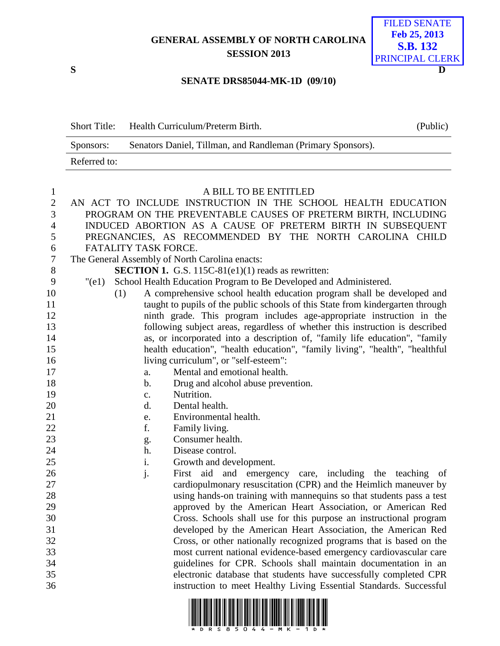## **GENERAL ASSEMBLY OF NORTH CAROLINA SESSION 2013**



## **SENATE DRS85044-MK-1D (09/10)**

| <b>Short Title:</b> | Health Curriculum/Preterm Birth.                            | (Public) |
|---------------------|-------------------------------------------------------------|----------|
| Sponsors:           | Senators Daniel, Tillman, and Randleman (Primary Sponsors). |          |
| Referred to:        |                                                             |          |

## A BILL TO BE ENTITLED

| $\mathbf{2}$     |                                                               |                      | AN ACT TO INCLUDE INSTRUCTION IN THE SCHOOL HEALTH EDUCATION                   |  |  |
|------------------|---------------------------------------------------------------|----------------------|--------------------------------------------------------------------------------|--|--|
| 3                | PROGRAM ON THE PREVENTABLE CAUSES OF PRETERM BIRTH, INCLUDING |                      |                                                                                |  |  |
| $\overline{4}$   |                                                               |                      | INDUCED ABORTION AS A CAUSE OF PRETERM BIRTH IN SUBSEQUENT                     |  |  |
| 5                |                                                               |                      | PREGNANCIES, AS RECOMMENDED BY THE NORTH CAROLINA CHILD                        |  |  |
| 6                |                                                               | FATALITY TASK FORCE. |                                                                                |  |  |
| $\boldsymbol{7}$ |                                                               |                      | The General Assembly of North Carolina enacts:                                 |  |  |
| 8                |                                                               |                      | <b>SECTION 1.</b> G.S. 115C-81(e1)(1) reads as rewritten:                      |  |  |
| 9                | "(e1)                                                         |                      | School Health Education Program to Be Developed and Administered.              |  |  |
| 10               |                                                               | (1)                  | A comprehensive school health education program shall be developed and         |  |  |
| 11               |                                                               |                      | taught to pupils of the public schools of this State from kindergarten through |  |  |
| 12               |                                                               |                      | ninth grade. This program includes age-appropriate instruction in the          |  |  |
| 13               |                                                               |                      | following subject areas, regardless of whether this instruction is described   |  |  |
| 14               |                                                               |                      | as, or incorporated into a description of, "family life education", "family    |  |  |
| 15               |                                                               |                      | health education", "health education", "family living", "health", "healthful   |  |  |
| 16               |                                                               |                      | living curriculum", or "self-esteem":                                          |  |  |
| 17               |                                                               | a.                   | Mental and emotional health.                                                   |  |  |
| 18               |                                                               | b.                   | Drug and alcohol abuse prevention.                                             |  |  |
| 19               |                                                               | $\mathbf{c}$ .       | Nutrition.                                                                     |  |  |
| 20               |                                                               | d.                   | Dental health.                                                                 |  |  |
| 21               |                                                               | e.                   | Environmental health.                                                          |  |  |
| 22               |                                                               | f.                   | Family living.                                                                 |  |  |
| 23               |                                                               | g.                   | Consumer health.                                                               |  |  |
| 24               |                                                               | h.                   | Disease control.                                                               |  |  |
| 25               |                                                               | i.                   | Growth and development.                                                        |  |  |
| 26               |                                                               | j.                   | First aid and emergency care, including the teaching of                        |  |  |
| 27               |                                                               |                      | cardiopulmonary resuscitation (CPR) and the Heimlich maneuver by               |  |  |
| 28               |                                                               |                      | using hands-on training with mannequins so that students pass a test           |  |  |
| 29               |                                                               |                      | approved by the American Heart Association, or American Red                    |  |  |
| 30               |                                                               |                      | Cross. Schools shall use for this purpose an instructional program             |  |  |
| 31               |                                                               |                      | developed by the American Heart Association, the American Red                  |  |  |
| 32               |                                                               |                      | Cross, or other nationally recognized programs that is based on the            |  |  |
| 33               |                                                               |                      | most current national evidence-based emergency cardiovascular care             |  |  |
| 34               |                                                               |                      | guidelines for CPR. Schools shall maintain documentation in an                 |  |  |
| 35               |                                                               |                      | electronic database that students have successfully completed CPR              |  |  |
| 36               |                                                               |                      | instruction to meet Healthy Living Essential Standards. Successful             |  |  |